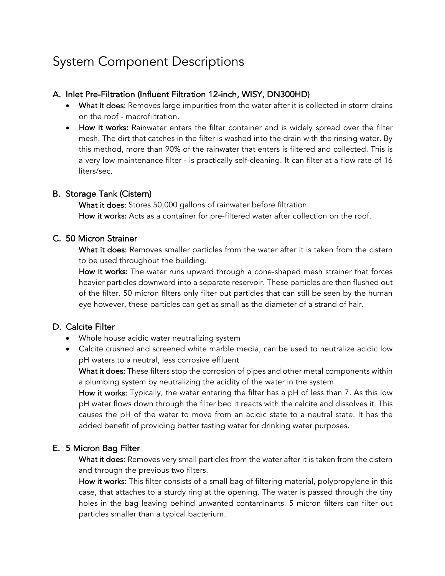# System Component Descriptions

#### A. Inlet Pre-Filtration (Influent Filtration 12-inch, WISY, DN300HD)

- What it does: Removes large impurities from the water after it is collected in storm drains on the roof - macrofiltration.
- How it works: Rainwater enters the filter container and is widely spread over the filter mesh. The dirt that catches in the filter is washed into the drain with the rinsing water. By this method, more than 90% of the rainwater that enters is filtered and collected. This is a very low maintenance filter - is practically self-cleaning. It can filter at a flow rate of 16 liters/sec.

#### B. Storage Tank (Cistern)

What it does: Stores 50,000 gallons of rainwater before filtration. How it works: Acts as a container for pre-filtered water after collection on the roof.

## C. 50 Micron Strainer

What it does: Removes smaller particles from the water after it is taken from the cistern to be used throughout the building.

How it works: The water runs upward through a cone-shaped mesh strainer that forces heavier particles downward into a separate reservoir. These particles are then flushed out of the filter. 50 micron filters only filter out particles that can still be seen by the human eye however, these particles can get as small as the diameter of a strand of hair.

# D. Calcite Filter

- Whole house acidic water neutralizing system
- Calcite crushed and screened white marble media; can be used to neutralize acidic low pH waters to a neutral, less corrosive effluent

What it does: These filters stop the corrosion of pipes and other metal components within a plumbing system by neutralizing the acidity of the water in the system.

How it works: Typically, the water entering the filter has a pH of less than 7. As this low pH water flows down through the filter bed it reacts with the calcite and dissolves it. This causes the pH of the water to move from an acidic state to a neutral state. It has the added benefit of providing better tasting water for drinking water purposes.

## E. 5 Micron Bag Filter

What it does: Removes very small particles from the water after it is taken from the cistern and through the previous two filters.

How it works: This filter consists of a small bag of filtering material, polypropylene in this case, that attaches to a sturdy ring at the opening. The water is passed through the tiny holes in the bag leaving behind unwanted contaminants. 5 micron filters can filter out particles smaller than a typical bacterium.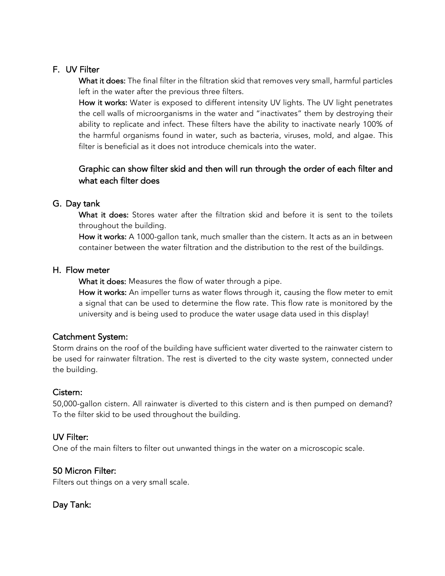# F. UV Filter

What it does: The final filter in the filtration skid that removes very small, harmful particles left in the water after the previous three filters.

How it works: Water is exposed to different intensity UV lights. The UV light penetrates the cell walls of microorganisms in the water and "inactivates" them by destroying their ability to replicate and infect. These filters have the ability to inactivate nearly 100% of the harmful organisms found in water, such as bacteria, viruses, mold, and algae. This filter is beneficial as it does not introduce chemicals into the water.

# Graphic can show filter skid and then will run through the order of each filter and what each filter does

## G. Day tank

What it does: Stores water after the filtration skid and before it is sent to the toilets throughout the building.

How it works: A 1000-gallon tank, much smaller than the cistern. It acts as an in between container between the water filtration and the distribution to the rest of the buildings.

#### H. Flow meter

What it does: Measures the flow of water through a pipe.

How it works: An impeller turns as water flows through it, causing the flow meter to emit a signal that can be used to determine the flow rate. This flow rate is monitored by the university and is being used to produce the water usage data used in this display!

## Catchment System:

Storm drains on the roof of the building have sufficient water diverted to the rainwater cistern to be used for rainwater filtration. The rest is diverted to the city waste system, connected under the building.

## Cistern:

50,000-gallon cistern. All rainwater is diverted to this cistern and is then pumped on demand? To the filter skid to be used throughout the building.

## UV Filter:

One of the main filters to filter out unwanted things in the water on a microscopic scale.

## 50 Micron Filter:

Filters out things on a very small scale.

Day Tank: